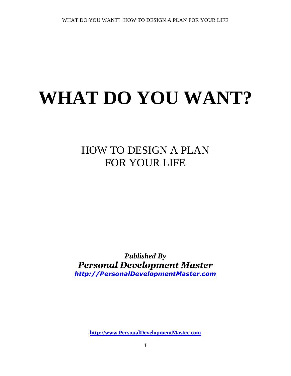# **WHAT DO YOU WANT?**

### HOW TO DESIGN A PLAN FOR YOUR LIFE

*Published By Personal Development Master [http://PersonalDevelopmentMaster.com](http://personaldevelopmentmaster.com/)*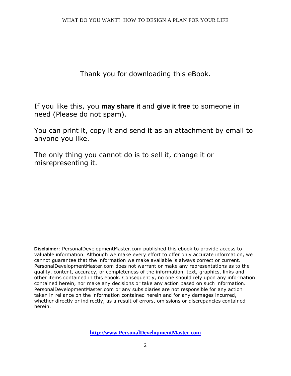Thank you for downloading this eBook.

If you like this, you **may share it** and **give it free** to someone in need (Please do not spam).

You can print it, copy it and send it as an attachment by email to anyone you like.

The only thing you cannot do is to sell it, change it or misrepresenting it.

**Disclaimer**: PersonalDevelopmentMaster.com published this ebook to provide access to valuable information. Although we make every effort to offer only accurate information, we cannot guarantee that the information we make available is always correct or current. PersonalDevelopmentMaster.com does not warrant or make any representations as to the quality, content, accuracy, or completeness of the information, text, graphics, links and other items contained in this ebook. Consequently, no one should rely upon any information contained herein, nor make any decisions or take any action based on such information. PersonalDevelopmentMaster.com or any subsidiaries are not responsible for any action taken in reliance on the information contained herein and for any damages incurred, whether directly or indirectly, as a result of errors, omissions or discrepancies contained herein.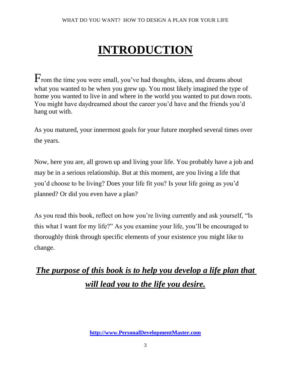# **INTRODUCTION**

From the time you were small, you've had thoughts, ideas, and dreams about what you wanted to be when you grew up. You most likely imagined the type of home you wanted to live in and where in the world you wanted to put down roots. You might have daydreamed about the career you'd have and the friends you'd hang out with.

As you matured, your innermost goals for your future morphed several times over the years.

Now, here you are, all grown up and living your life. You probably have a job and may be in a serious relationship. But at this moment, are you living a life that you'd choose to be living? Does your life fit you? Is your life going as you'd planned? Or did you even have a plan?

As you read this book, reflect on how you're living currently and ask yourself, "Is this what I want for my life?" As you examine your life, you'll be encouraged to thoroughly think through specific elements of your existence you might like to change.

### *The purpose of this book is to help you develop a life plan that will lead you to the life you desire.*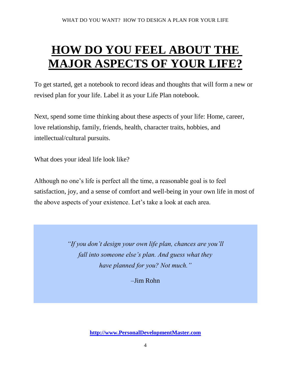# **HOW DO YOU FEEL ABOUT THE MAJOR ASPECTS OF YOUR LIFE?**

To get started, get a notebook to record ideas and thoughts that will form a new or revised plan for your life. Label it as your Life Plan notebook.

Next, spend some time thinking about these aspects of your life: Home, career, love relationship, family, friends, health, character traits, hobbies, and intellectual/cultural pursuits.

What does your ideal life look like?

Although no one's life is perfect all the time, a reasonable goal is to feel satisfaction, joy, and a sense of comfort and well-being in your own life in most of the above aspects of your existence. Let's take a look at each area.

> *"If you don't design your own life plan, chances are you'll fall into someone else's plan. And guess what they have planned for you? Not much."*

> > –Jim Rohn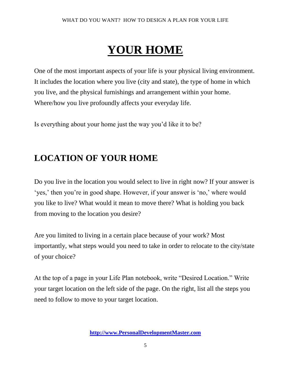# **YOUR HOME**

One of the most important aspects of your life is your physical living environment. It includes the location where you live (city and state), the type of home in which you live, and the physical furnishings and arrangement within your home. Where/how you live profoundly affects your everyday life.

Is everything about your home just the way you'd like it to be?

### **LOCATION OF YOUR HOME**

Do you live in the location you would select to live in right now? If your answer is ‗yes,' then you're in good shape. However, if your answer is ‗no,' where would you like to live? What would it mean to move there? What is holding you back from moving to the location you desire?

Are you limited to living in a certain place because of your work? Most importantly, what steps would you need to take in order to relocate to the city/state of your choice?

At the top of a page in your Life Plan notebook, write "Desired Location." Write your target location on the left side of the page. On the right, list all the steps you need to follow to move to your target location.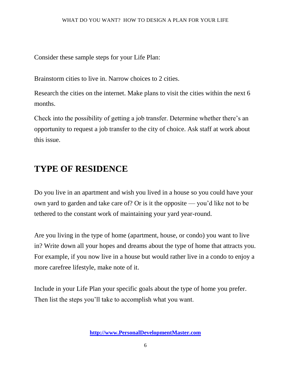Consider these sample steps for your Life Plan:

Brainstorm cities to live in. Narrow choices to 2 cities.

Research the cities on the internet. Make plans to visit the cities within the next 6 months.

Check into the possibility of getting a job transfer. Determine whether there's an opportunity to request a job transfer to the city of choice. Ask staff at work about this issue.

### **TYPE OF RESIDENCE**

Do you live in an apartment and wish you lived in a house so you could have your own yard to garden and take care of? Or is it the opposite — you'd like not to be tethered to the constant work of maintaining your yard year-round.

Are you living in the type of home (apartment, house, or condo) you want to live in? Write down all your hopes and dreams about the type of home that attracts you. For example, if you now live in a house but would rather live in a condo to enjoy a more carefree lifestyle, make note of it.

Include in your Life Plan your specific goals about the type of home you prefer. Then list the steps you'll take to accomplish what you want.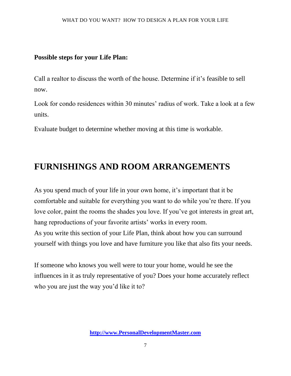#### **Possible steps for your Life Plan:**

Call a realtor to discuss the worth of the house. Determine if it's feasible to sell now.

Look for condo residences within 30 minutes' radius of work. Take a look at a few units.

Evaluate budget to determine whether moving at this time is workable.

### **FURNISHINGS AND ROOM ARRANGEMENTS**

As you spend much of your life in your own home, it's important that it be comfortable and suitable for everything you want to do while you're there. If you love color, paint the rooms the shades you love. If you've got interests in great art, hang reproductions of your favorite artists' works in every room. As you write this section of your Life Plan, think about how you can surround yourself with things you love and have furniture you like that also fits your needs.

If someone who knows you well were to tour your home, would he see the influences in it as truly representative of you? Does your home accurately reflect who you are just the way you'd like it to?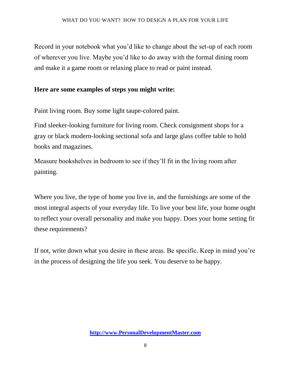Record in your notebook what you'd like to change about the set-up of each room of wherever you live. Maybe you'd like to do away with the formal dining room and make it a game room or relaxing place to read or paint instead.

#### **Here are some examples of steps you might write:**

Paint living room. Buy some light taupe-colored paint.

Find sleeker-looking furniture for living room. Check consignment shops for a gray or black modern-looking sectional sofa and large glass coffee table to hold books and magazines.

Measure bookshelves in bedroom to see if they'll fit in the living room after painting.

Where you live, the type of home you live in, and the furnishings are some of the most integral aspects of your everyday life. To live your best life, your home ought to reflect your overall personality and make you happy. Does your home setting fit these requirements?

If not, write down what you desire in these areas. Be specific. Keep in mind you're in the process of designing the life you seek. You deserve to be happy.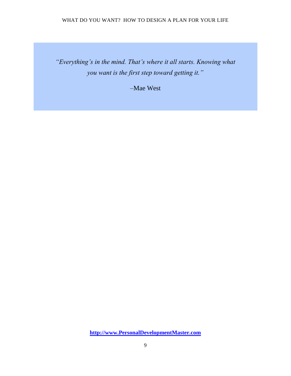*"Everything's in the mind. That's where it all starts. Knowing what you want is the first step toward getting it."* 

–Mae West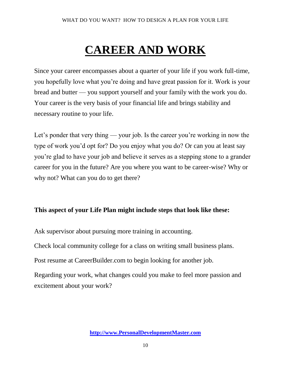# **CAREER AND WORK**

Since your career encompasses about a quarter of your life if you work full-time, you hopefully love what you're doing and have great passion for it. Work is your bread and butter — you support yourself and your family with the work you do. Your career is the very basis of your financial life and brings stability and necessary routine to your life.

Let's ponder that very thing — your job. Is the career you're working in now the type of work you'd opt for? Do you enjoy what you do? Or can you at least say you're glad to have your job and believe it serves as a stepping stone to a grander career for you in the future? Are you where you want to be career-wise? Why or why not? What can you do to get there?

#### **This aspect of your Life Plan might include steps that look like these:**

Ask supervisor about pursuing more training in accounting.

Check local community college for a class on writing small business plans.

Post resume at CareerBuilder.com to begin looking for another job.

Regarding your work, what changes could you make to feel more passion and excitement about your work?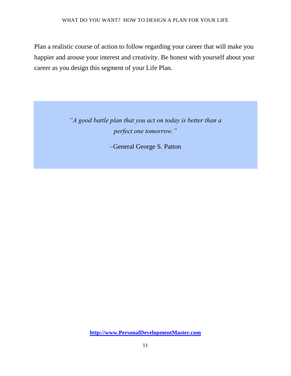Plan a realistic course of action to follow regarding your career that will make you happier and arouse your interest and creativity. Be honest with yourself about your career as you design this segment of your Life Plan.

> *"A good battle plan that you act on today is better than a perfect one tomorrow."*

> > –General George S. Patton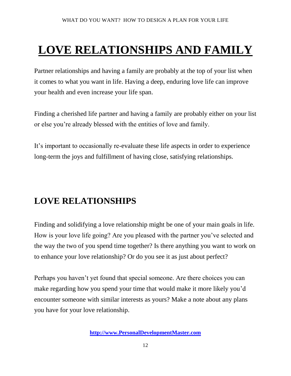# **LOVE RELATIONSHIPS AND FAMILY**

Partner relationships and having a family are probably at the top of your list when it comes to what you want in life. Having a deep, enduring love life can improve your health and even increase your life span.

Finding a cherished life partner and having a family are probably either on your list or else you're already blessed with the entities of love and family.

It's important to occasionally re-evaluate these life aspects in order to experience long-term the joys and fulfillment of having close, satisfying relationships.

### **LOVE RELATIONSHIPS**

Finding and solidifying a love relationship might be one of your main goals in life. How is your love life going? Are you pleased with the partner you've selected and the way the two of you spend time together? Is there anything you want to work on to enhance your love relationship? Or do you see it as just about perfect?

Perhaps you haven't yet found that special someone. Are there choices you can make regarding how you spend your time that would make it more likely you'd encounter someone with similar interests as yours? Make a note about any plans you have for your love relationship.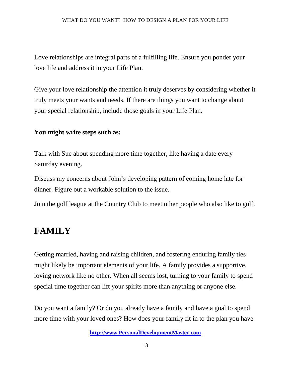Love relationships are integral parts of a fulfilling life. Ensure you ponder your love life and address it in your Life Plan.

Give your love relationship the attention it truly deserves by considering whether it truly meets your wants and needs. If there are things you want to change about your special relationship, include those goals in your Life Plan.

#### **You might write steps such as:**

Talk with Sue about spending more time together, like having a date every Saturday evening.

Discuss my concerns about John's developing pattern of coming home late for dinner. Figure out a workable solution to the issue.

Join the golf league at the Country Club to meet other people who also like to golf.

### **FAMILY**

Getting married, having and raising children, and fostering enduring family ties might likely be important elements of your life. A family provides a supportive, loving network like no other. When all seems lost, turning to your family to spend special time together can lift your spirits more than anything or anyone else.

Do you want a family? Or do you already have a family and have a goal to spend more time with your loved ones? How does your family fit in to the plan you have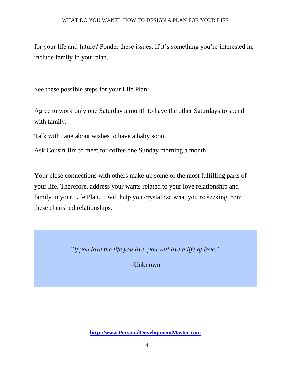for your life and future? Ponder these issues. If it's something you're interested in, include family in your plan.

See these possible steps for your Life Plan:

Agree to work only one Saturday a month to have the other Saturdays to spend with family.

Talk with Jane about wishes to have a baby soon.

Ask Cousin Jim to meet for coffee one Sunday morning a month.

Your close connections with others make up some of the most fulfilling parts of your life. Therefore, address your wants related to your love relationship and family in your Life Plan. It will help you crystallize what you're seeking from these cherished relationships.

*"If you love the life you live, you will live a life of love."* 

–Unknown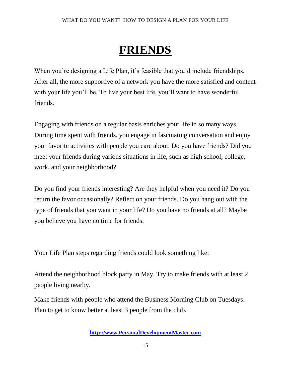### **FRIENDS**

When you're designing a Life Plan, it's feasible that you'd include friendships. After all, the more supportive of a network you have the more satisfied and content with your life you'll be. To live your best life, you'll want to have wonderful friends.

Engaging with friends on a regular basis enriches your life in so many ways. During time spent with friends, you engage in fascinating conversation and enjoy your favorite activities with people you care about. Do you have friends? Did you meet your friends during various situations in life, such as high school, college, work, and your neighborhood?

Do you find your friends interesting? Are they helpful when you need it? Do you return the favor occasionally? Reflect on your friends. Do you hang out with the type of friends that you want in your life? Do you have no friends at all? Maybe you believe you have no time for friends.

Your Life Plan steps regarding friends could look something like:

Attend the neighborhood block party in May. Try to make friends with at least 2 people living nearby.

Make friends with people who attend the Business Morning Club on Tuesdays. Plan to get to know better at least 3 people from the club.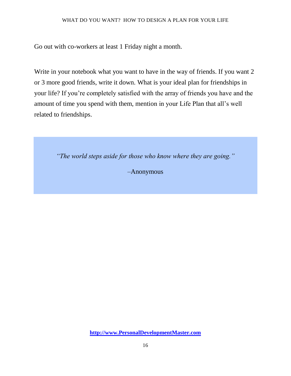Go out with co-workers at least 1 Friday night a month.

Write in your notebook what you want to have in the way of friends. If you want 2 or 3 more good friends, write it down. What is your ideal plan for friendships in your life? If you're completely satisfied with the array of friends you have and the amount of time you spend with them, mention in your Life Plan that all's well related to friendships.

*"The world steps aside for those who know where they are going."* 

–Anonymous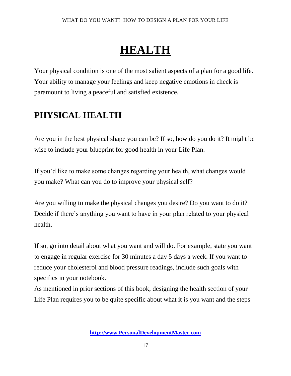# **HEALTH**

Your physical condition is one of the most salient aspects of a plan for a good life. Your ability to manage your feelings and keep negative emotions in check is paramount to living a peaceful and satisfied existence.

### **PHYSICAL HEALTH**

Are you in the best physical shape you can be? If so, how do you do it? It might be wise to include your blueprint for good health in your Life Plan.

If you'd like to make some changes regarding your health, what changes would you make? What can you do to improve your physical self?

Are you willing to make the physical changes you desire? Do you want to do it? Decide if there's anything you want to have in your plan related to your physical health.

If so, go into detail about what you want and will do. For example, state you want to engage in regular exercise for 30 minutes a day 5 days a week. If you want to reduce your cholesterol and blood pressure readings, include such goals with specifics in your notebook.

As mentioned in prior sections of this book, designing the health section of your Life Plan requires you to be quite specific about what it is you want and the steps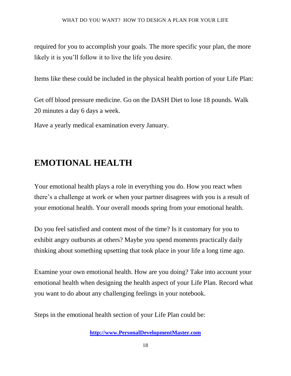required for you to accomplish your goals. The more specific your plan, the more likely it is you'll follow it to live the life you desire.

Items like these could be included in the physical health portion of your Life Plan:

Get off blood pressure medicine. Go on the DASH Diet to lose 18 pounds. Walk 20 minutes a day 6 days a week.

Have a yearly medical examination every January.

### **EMOTIONAL HEALTH**

Your emotional health plays a role in everything you do. How you react when there's a challenge at work or when your partner disagrees with you is a result of your emotional health. Your overall moods spring from your emotional health.

Do you feel satisfied and content most of the time? Is it customary for you to exhibit angry outbursts at others? Maybe you spend moments practically daily thinking about something upsetting that took place in your life a long time ago.

Examine your own emotional health. How are you doing? Take into account your emotional health when designing the health aspect of your Life Plan. Record what you want to do about any challenging feelings in your notebook.

Steps in the emotional health section of your Life Plan could be: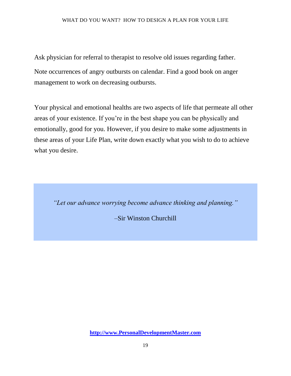Ask physician for referral to therapist to resolve old issues regarding father. Note occurrences of angry outbursts on calendar. Find a good book on anger management to work on decreasing outbursts.

Your physical and emotional healths are two aspects of life that permeate all other areas of your existence. If you're in the best shape you can be physically and emotionally, good for you. However, if you desire to make some adjustments in these areas of your Life Plan, write down exactly what you wish to do to achieve what you desire.

*"Let our advance worrying become advance thinking and planning."* 

–Sir Winston Churchill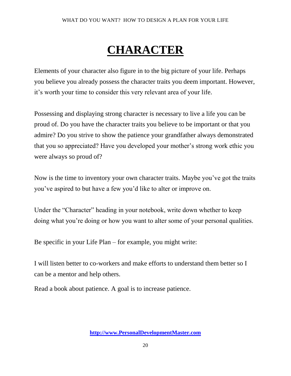### **CHARACTER**

Elements of your character also figure in to the big picture of your life. Perhaps you believe you already possess the character traits you deem important. However, it's worth your time to consider this very relevant area of your life.

Possessing and displaying strong character is necessary to live a life you can be proud of. Do you have the character traits you believe to be important or that you admire? Do you strive to show the patience your grandfather always demonstrated that you so appreciated? Have you developed your mother's strong work ethic you were always so proud of?

Now is the time to inventory your own character traits. Maybe you've got the traits you've aspired to but have a few you'd like to alter or improve on.

Under the "Character" heading in your notebook, write down whether to keep doing what you're doing or how you want to alter some of your personal qualities.

Be specific in your Life Plan – for example, you might write:

I will listen better to co-workers and make efforts to understand them better so I can be a mentor and help others.

Read a book about patience. A goal is to increase patience.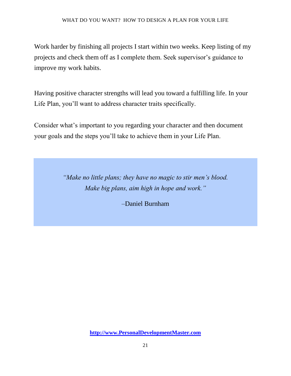Work harder by finishing all projects I start within two weeks. Keep listing of my projects and check them off as I complete them. Seek supervisor's guidance to improve my work habits.

Having positive character strengths will lead you toward a fulfilling life. In your Life Plan, you'll want to address character traits specifically.

Consider what's important to you regarding your character and then document your goals and the steps you'll take to achieve them in your Life Plan.

> *"Make no little plans; they have no magic to stir men's blood. Make big plans, aim high in hope and work."*

> > –Daniel Burnham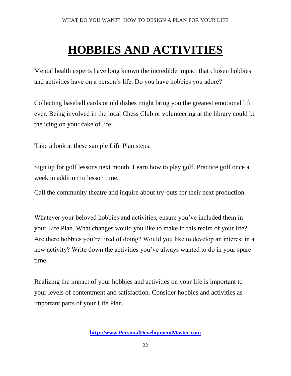# **HOBBIES AND ACTIVITIES**

Mental health experts have long known the incredible impact that chosen hobbies and activities have on a person's life. Do you have hobbies you adore?

Collecting baseball cards or old dishes might bring you the greatest emotional lift ever. Being involved in the local Chess Club or volunteering at the library could be the icing on your cake of life.

Take a look at these sample Life Plan steps:

Sign up for golf lessons next month. Learn how to play golf. Practice golf once a week in addition to lesson time.

Call the community theatre and inquire about try-outs for their next production.

Whatever your beloved hobbies and activities, ensure you've included them in your Life Plan. What changes would you like to make in this realm of your life? Are there hobbies you're tired of doing? Would you like to develop an interest in a new activity? Write down the activities you've always wanted to do in your spare time.

Realizing the impact of your hobbies and activities on your life is important to your levels of contentment and satisfaction. Consider hobbies and activities as important parts of your Life Plan.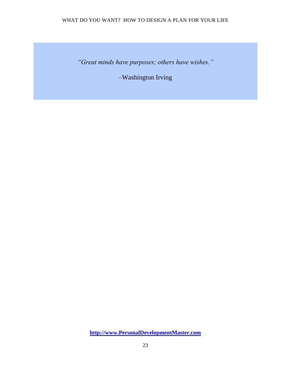*"Great minds have purposes; others have wishes."* 

–Washington Irving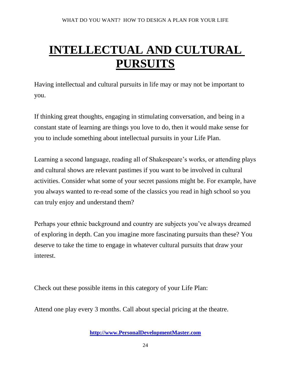# **INTELLECTUAL AND CULTURAL PURSUITS**

Having intellectual and cultural pursuits in life may or may not be important to you.

If thinking great thoughts, engaging in stimulating conversation, and being in a constant state of learning are things you love to do, then it would make sense for you to include something about intellectual pursuits in your Life Plan.

Learning a second language, reading all of Shakespeare's works, or attending plays and cultural shows are relevant pastimes if you want to be involved in cultural activities. Consider what some of your secret passions might be. For example, have you always wanted to re-read some of the classics you read in high school so you can truly enjoy and understand them?

Perhaps your ethnic background and country are subjects you've always dreamed of exploring in depth. Can you imagine more fascinating pursuits than these? You deserve to take the time to engage in whatever cultural pursuits that draw your interest.

Check out these possible items in this category of your Life Plan:

Attend one play every 3 months. Call about special pricing at the theatre.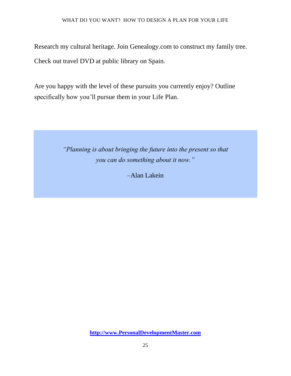Research my cultural heritage. Join Genealogy.com to construct my family tree. Check out travel DVD at public library on Spain.

Are you happy with the level of these pursuits you currently enjoy? Outline specifically how you'll pursue them in your Life Plan.

> *"Planning is about bringing the future into the present so that you can do something about it now."*

> > –Alan Lakein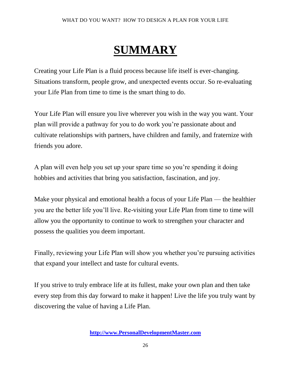# **SUMMARY**

Creating your Life Plan is a fluid process because life itself is ever-changing. Situations transform, people grow, and unexpected events occur. So re-evaluating your Life Plan from time to time is the smart thing to do.

Your Life Plan will ensure you live wherever you wish in the way you want. Your plan will provide a pathway for you to do work you're passionate about and cultivate relationships with partners, have children and family, and fraternize with friends you adore.

A plan will even help you set up your spare time so you're spending it doing hobbies and activities that bring you satisfaction, fascination, and joy.

Make your physical and emotional health a focus of your Life Plan — the healthier you are the better life you'll live. Re-visiting your Life Plan from time to time will allow you the opportunity to continue to work to strengthen your character and possess the qualities you deem important.

Finally, reviewing your Life Plan will show you whether you're pursuing activities that expand your intellect and taste for cultural events.

If you strive to truly embrace life at its fullest, make your own plan and then take every step from this day forward to make it happen! Live the life you truly want by discovering the value of having a Life Plan.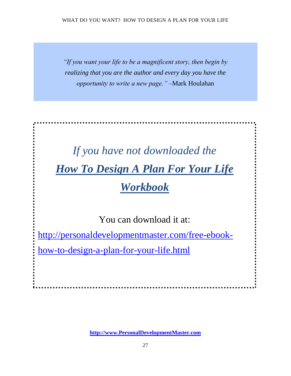*"If you want your life to be a magnificent story, then begin by realizing that you are the author and every day you have the opportunity to write a new page."* –Mark Houlahan

# *If you have not downloaded the How To Design A Plan For Your Life Workbook*

You can download it at:

[http://personaldevelopmentmaster.com/free-ebook-](http://personaldevelopmentmaster.com/free-ebook-how-to-design-a-plan-for-your-life.html)

[how-to-design-a-plan-for-your-life.html](http://personaldevelopmentmaster.com/free-ebook-how-to-design-a-plan-for-your-life.html)